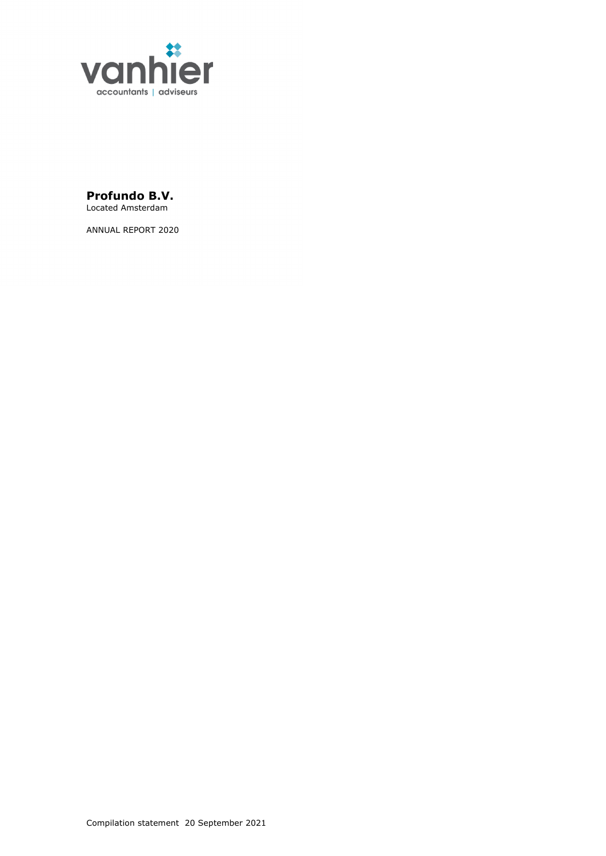

**Profundo B.V.** Located Amsterdam

ANNUAL REPORT 2020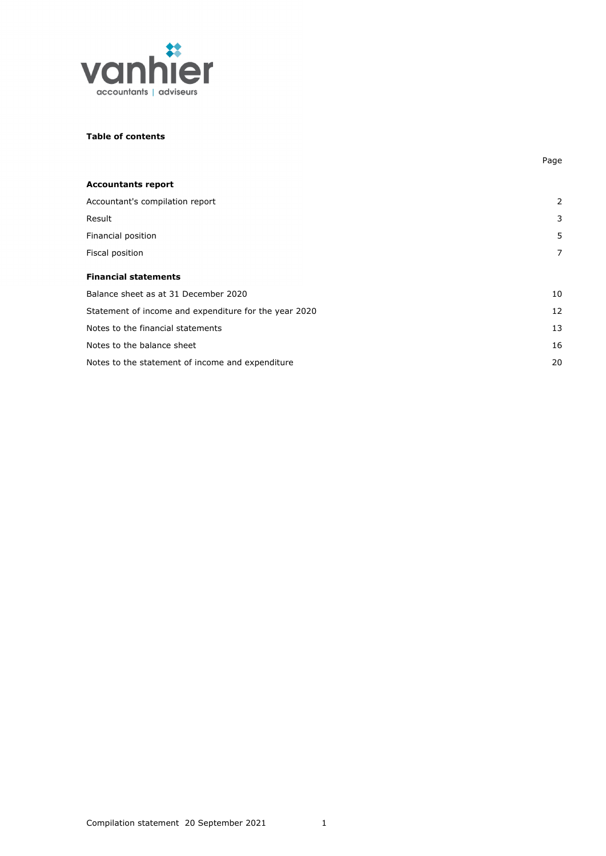

## **Table of contents**

| <b>Accountants report</b>                             |                |
|-------------------------------------------------------|----------------|
| Accountant's compilation report                       | $\overline{2}$ |
| Result                                                | 3              |
| Financial position                                    | 5              |
| Fiscal position                                       | 7              |
| <b>Financial statements</b>                           |                |
| Balance sheet as at 31 December 2020                  | 10             |
| Statement of income and expenditure for the year 2020 | 12             |
| Notes to the financial statements                     | 13             |
| Notes to the balance sheet                            | 16             |
| Notes to the statement of income and expenditure      | 20             |

Page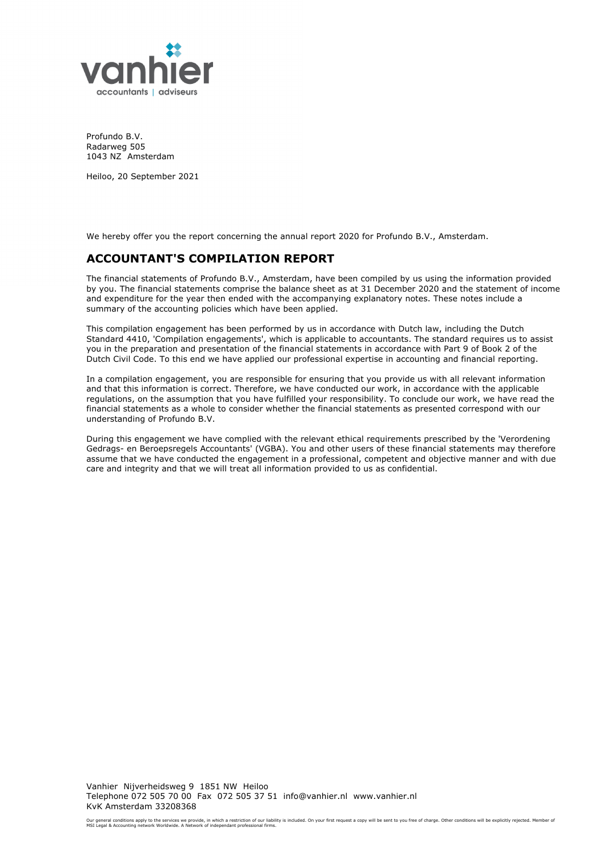

Profundo B.V. Radarweg 505 1043 NZ Amsterdam

Heiloo, 20 September 2021

We hereby offer you the report concerning the annual report 2020 for Profundo B.V., Amsterdam.

# **ACCOUNTANT'S COMPILATION REPORT**

The financial statements of Profundo B.V., Amsterdam, have been compiled by us using the information provided by you. The financial statements comprise the balance sheet as at 31 December 2020 and the statement of income and expenditure for the year then ended with the accompanying explanatory notes. These notes include a summary of the accounting policies which have been applied.

This compilation engagement has been performed by us in accordance with Dutch law, including the Dutch Standard 4410, 'Compilation engagements', which is applicable to accountants. The standard requires us to assist you in the preparation and presentation of the financial statements in accordance with Part 9 of Book 2 of the Dutch Civil Code. To this end we have applied our professional expertise in accounting and financial reporting.

In a compilation engagement, you are responsible for ensuring that you provide us with all relevant information and that this information is correct. Therefore, we have conducted our work, in accordance with the applicable regulations, on the assumption that you have fulfilled your responsibility. To conclude our work, we have read the financial statements as a whole to consider whether the financial statements as presented correspond with our understanding of Profundo B.V.

During this engagement we have complied with the relevant ethical requirements prescribed by the 'Verordening Gedrags- en Beroepsregels Accountants' (VGBA). You and other users of these financial statements may therefore assume that we have conducted the engagement in a professional, competent and objective manner and with due care and integrity and that we will treat all information provided to us as confidential.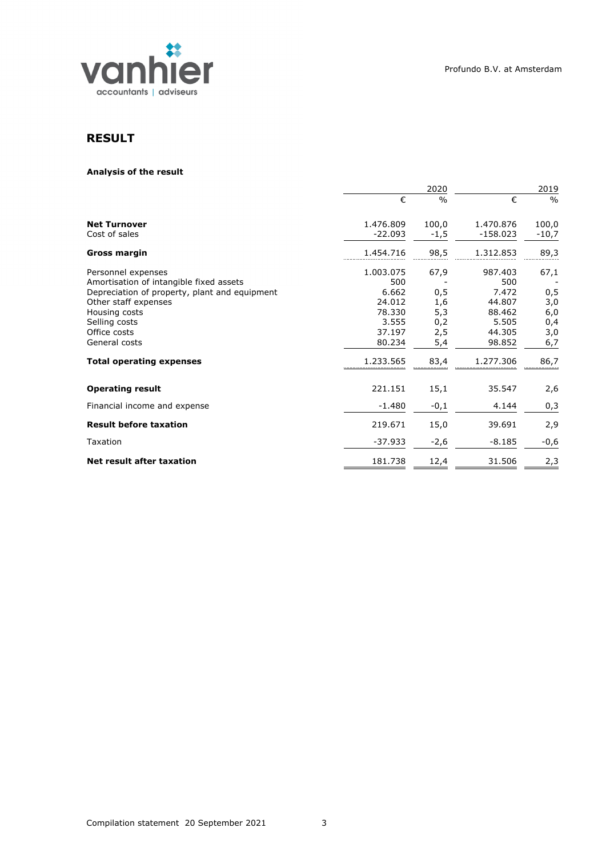

# **RESULT**

## **Analysis of the result**

|                                                                                                                                                                                                           | 2020                                                                       |                                                |                                                                          | 2019                                           |  |
|-----------------------------------------------------------------------------------------------------------------------------------------------------------------------------------------------------------|----------------------------------------------------------------------------|------------------------------------------------|--------------------------------------------------------------------------|------------------------------------------------|--|
|                                                                                                                                                                                                           | €                                                                          | $\frac{0}{0}$                                  | €                                                                        | $\frac{0}{0}$                                  |  |
| <b>Net Turnover</b><br>Cost of sales                                                                                                                                                                      | 1.476.809<br>$-22.093$                                                     | 100,0<br>$-1,5$                                | 1.470.876<br>$-158.023$                                                  | 100,0<br>$-10,7$                               |  |
| Gross margin                                                                                                                                                                                              | 1.454.716                                                                  | 98,5                                           | 1.312.853                                                                | 89,3                                           |  |
| Personnel expenses<br>Amortisation of intangible fixed assets<br>Depreciation of property, plant and equipment<br>Other staff expenses<br>Housing costs<br>Selling costs<br>Office costs<br>General costs | 1.003.075<br>500<br>6.662<br>24.012<br>78.330<br>3.555<br>37.197<br>80.234 | 67,9<br>0,5<br>1,6<br>5,3<br>0,2<br>2,5<br>5,4 | 987.403<br>500<br>7.472<br>44.807<br>88.462<br>5.505<br>44.305<br>98.852 | 67,1<br>0,5<br>3,0<br>6,0<br>0,4<br>3,0<br>6,7 |  |
| <b>Total operating expenses</b>                                                                                                                                                                           | 1.233.565                                                                  | 83,4                                           | 1.277.306                                                                | 86,7                                           |  |
| <b>Operating result</b><br>Financial income and expense                                                                                                                                                   | 221.151<br>$-1.480$                                                        | 15,1<br>$-0,1$                                 | 35.547<br>4.144                                                          | 2,6<br>0,3                                     |  |
| <b>Result before taxation</b>                                                                                                                                                                             | 219.671                                                                    | 15,0                                           | 39.691                                                                   | 2,9                                            |  |
| Taxation                                                                                                                                                                                                  | $-37.933$                                                                  | $-2,6$                                         | $-8.185$                                                                 | $-0,6$                                         |  |
| Net result after taxation                                                                                                                                                                                 | 181.738                                                                    | 12,4                                           | 31.506                                                                   | 2,3                                            |  |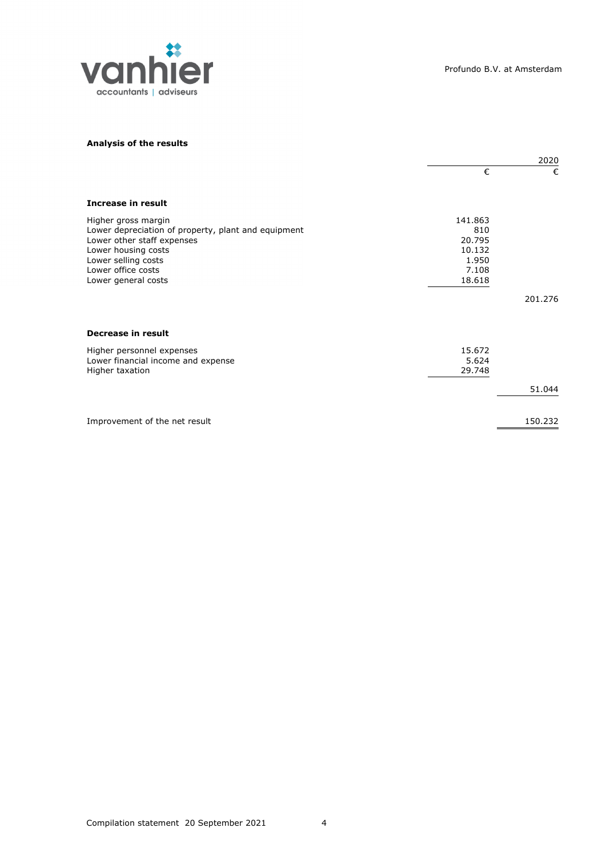

## **Analysis of the results**

|                                                                                                                                                                                                     | 2020                                                           |         |
|-----------------------------------------------------------------------------------------------------------------------------------------------------------------------------------------------------|----------------------------------------------------------------|---------|
|                                                                                                                                                                                                     | €                                                              | €       |
| Increase in result                                                                                                                                                                                  |                                                                |         |
| Higher gross margin<br>Lower depreciation of property, plant and equipment<br>Lower other staff expenses<br>Lower housing costs<br>Lower selling costs<br>Lower office costs<br>Lower general costs | 141.863<br>810<br>20.795<br>10.132<br>1.950<br>7.108<br>18.618 |         |
|                                                                                                                                                                                                     |                                                                | 201.276 |
| Decrease in result<br>Higher personnel expenses<br>Lower financial income and expense<br>Higher taxation                                                                                            | 15.672<br>5.624<br>29.748                                      |         |
|                                                                                                                                                                                                     |                                                                | 51.044  |
| Improvement of the net result                                                                                                                                                                       |                                                                | 150.232 |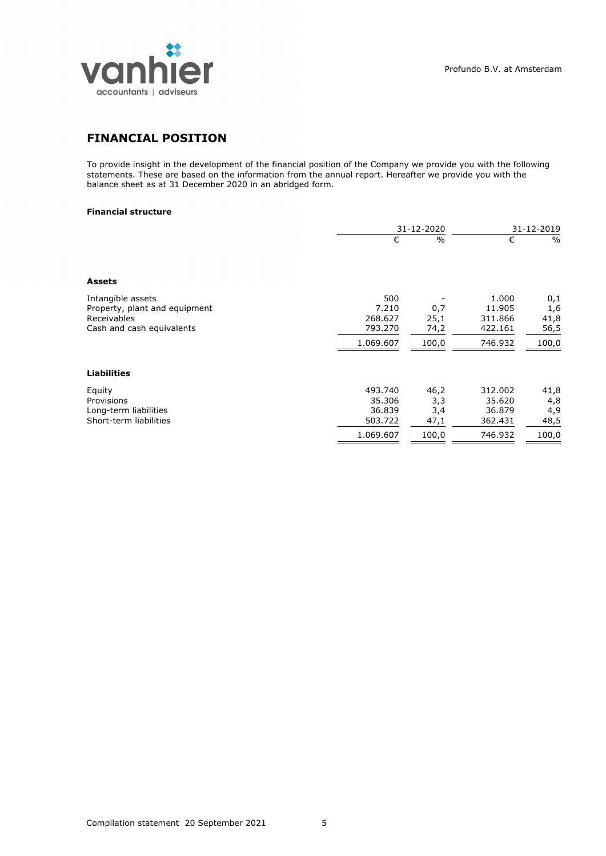

# **FINANCIAL POSITION**

To provide insight in the development of the financial position of the Company we provide you with the following statements. These are based on the information from the annual report. Hereafter we provide you with the balance sheet as at 31 December 2020 in an abridged form.

## **Financial structure**

|                                                                   |                         | 31-12-2020  | 31-12-2019                 |               |
|-------------------------------------------------------------------|-------------------------|-------------|----------------------------|---------------|
|                                                                   | €                       | $\%$        | €                          | $\frac{0}{0}$ |
| <b>Assets</b>                                                     |                         |             |                            |               |
| Intangible assets<br>Property, plant and equipment<br>Receivables | 500<br>7.210<br>268.627 | 0,7<br>25,1 | 1.000<br>11.905<br>311.866 | 0,1<br>1,6    |
| Cash and cash equivalents                                         | 793.270                 | 74,2        | 422.161                    | 41,8<br>56,5  |
|                                                                   | 1.069.607               | 100,0       | 746.932                    | 100,0         |
| <b>Liabilities</b>                                                |                         |             |                            |               |
| Equity                                                            | 493.740                 | 46,2        | 312.002                    | 41,8          |
| Provisions                                                        | 35.306                  | 3,3         | 35.620                     | 4,8           |
| Long-term liabilities                                             | 36.839                  | 3,4         | 36.879                     | 4,9           |
| Short-term liabilities                                            | 503.722                 | 47,1        | 362.431                    | 48,5          |
|                                                                   | 1.069.607               | 100,0       | 746.932                    | 100,0         |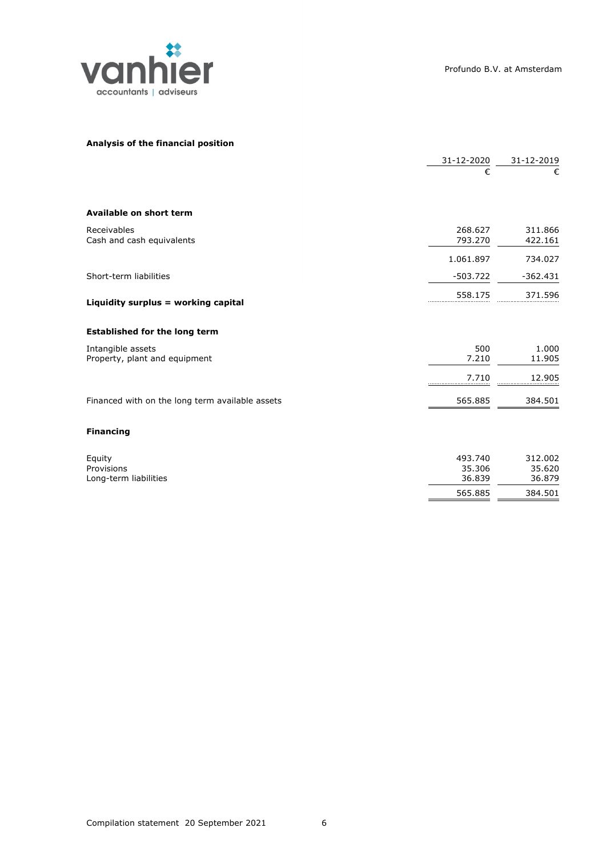

## **Analysis of the financial position**

|                                                    | 31-12-2020         | 31-12-2019         |
|----------------------------------------------------|--------------------|--------------------|
|                                                    | €                  | €                  |
| Available on short term                            |                    |                    |
| Receivables<br>Cash and cash equivalents           | 268.627<br>793.270 | 311.866<br>422.161 |
|                                                    | 1.061.897          | 734.027            |
| Short-term liabilities                             | $-503.722$         | $-362.431$         |
| Liquidity surplus = working capital                | 558.175            | 371.596            |
| <b>Established for the long term</b>               |                    |                    |
| Intangible assets<br>Property, plant and equipment | 500<br>7.210       | 1.000<br>11.905    |
|                                                    | 7.710              | 12.905             |
| Financed with on the long term available assets    | 565.885            | 384.501            |
| <b>Financing</b>                                   |                    |                    |
| Equity<br>Provisions                               | 493.740<br>35.306  | 312.002<br>35.620  |
| Long-term liabilities                              | 36.839             | 36.879             |
|                                                    | 565.885            | 384.501            |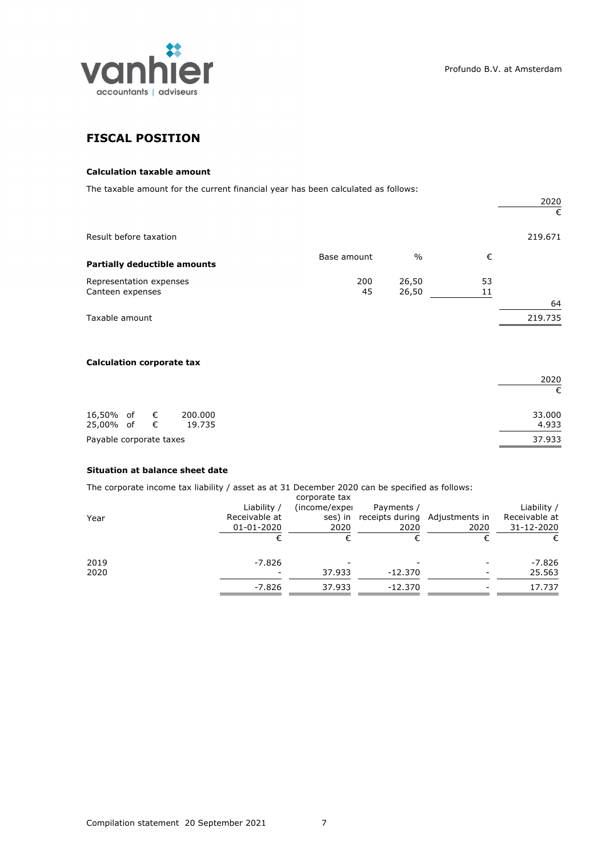

2020

# **FISCAL POSITION**

## **Calculation taxable amount**

The taxable amount for the current financial year has been calculated as follows:

|                                             |             |                |          | 2020<br>€ |
|---------------------------------------------|-------------|----------------|----------|-----------|
| Result before taxation                      |             |                |          | 219.671   |
| <b>Partially deductible amounts</b>         | Base amount | $\frac{0}{0}$  | €        |           |
| Representation expenses<br>Canteen expenses | 200<br>45   | 26,50<br>26,50 | 53<br>11 | 64        |
| Taxable amount                              |             |                |          | 219.735   |

## **Calculation corporate tax**

|                         |  |         | 2020   |
|-------------------------|--|---------|--------|
|                         |  |         | €      |
| 16,50% of €             |  | 200.000 | 33.000 |
| 25,00% of €             |  | 19.735  | 4.933  |
| Payable corporate taxes |  |         | 37.933 |

## **Situation at balance sheet date**

The corporate income tax liability / asset as at 31 December 2020 can be specified as follows:

| Year         | Liability /<br>Receivable at<br>01-01-2020 | corporate tax<br>(income/exper<br>ses) in<br>2020 | Payments /<br>receipts during Adjustments in<br>2020 | 2020 | Liability /<br>Receivable at<br>31-12-2020<br>€ |
|--------------|--------------------------------------------|---------------------------------------------------|------------------------------------------------------|------|-------------------------------------------------|
| 2019<br>2020 | $-7.826$<br>$\overline{\phantom{a}}$       | 37.933                                            | $-12.370$                                            |      | -7.826<br>25.563                                |
|              | -7.826                                     | 37.933                                            | -12.370                                              |      | 17.737                                          |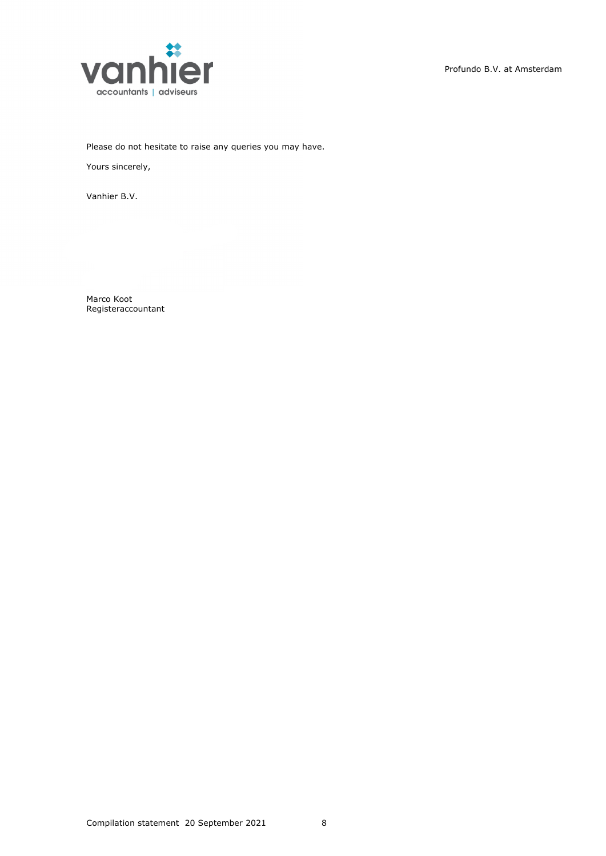

Please do not hesitate to raise any queries you may have.

Yours sincerely,

Vanhier B.V.

Marco Koot Registeraccountant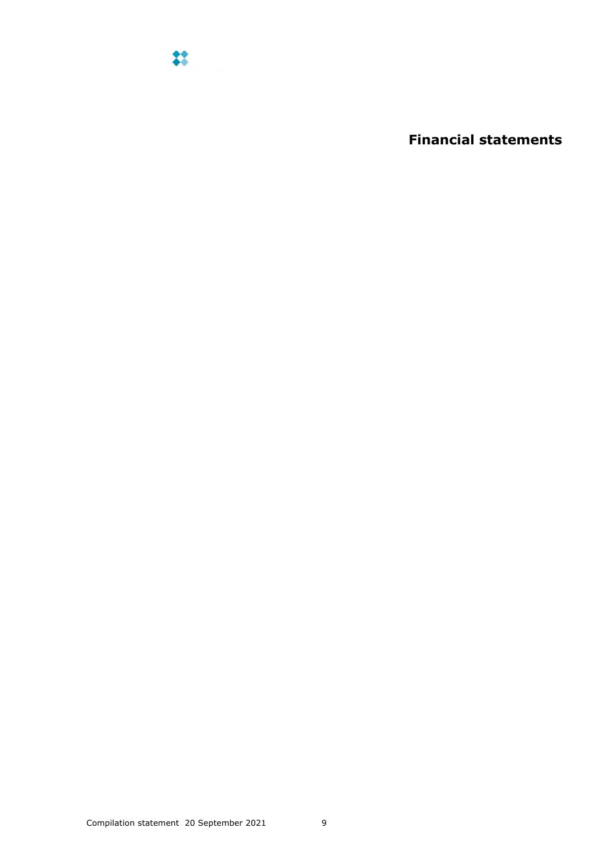

**Financial statements**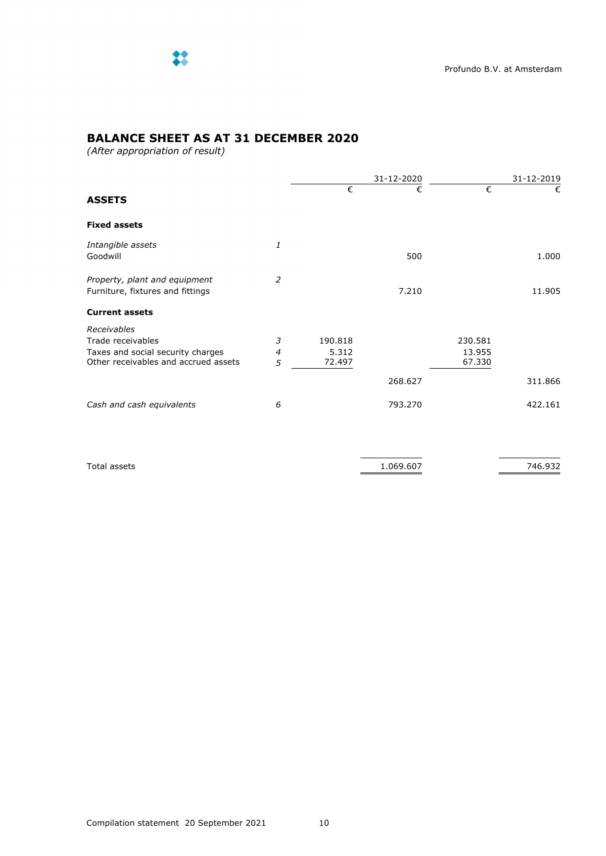

# **BALANCE SHEET AS AT 31 DECEMBER 2020**

*(After appropriation of result)*

|                                                                   |                |         | 31-12-2020 |         | 31-12-2019 |  |
|-------------------------------------------------------------------|----------------|---------|------------|---------|------------|--|
| <b>ASSETS</b>                                                     |                | €       | €          | €       | €          |  |
| <b>Fixed assets</b>                                               |                |         |            |         |            |  |
| Intangible assets<br>Goodwill                                     | 1              |         | 500        |         | 1.000      |  |
| Property, plant and equipment<br>Furniture, fixtures and fittings | 2              |         | 7.210      |         | 11.905     |  |
| <b>Current assets</b>                                             |                |         |            |         |            |  |
| Receivables                                                       |                |         |            |         |            |  |
| Trade receivables                                                 | 3              | 190.818 |            | 230.581 |            |  |
| Taxes and social security charges                                 | $\overline{4}$ | 5.312   |            | 13.955  |            |  |
| Other receivables and accrued assets                              | 5              | 72.497  |            | 67.330  |            |  |
|                                                                   |                |         | 268.627    |         | 311.866    |  |
| Cash and cash equivalents                                         | 6              |         | 793.270    |         | 422.161    |  |
|                                                                   |                |         |            |         |            |  |

| Tota<br>∴∹et ∶<br>------- | $.60^-$<br>969<br>. | 77 F<br>____ |
|---------------------------|---------------------|--------------|
|                           |                     |              |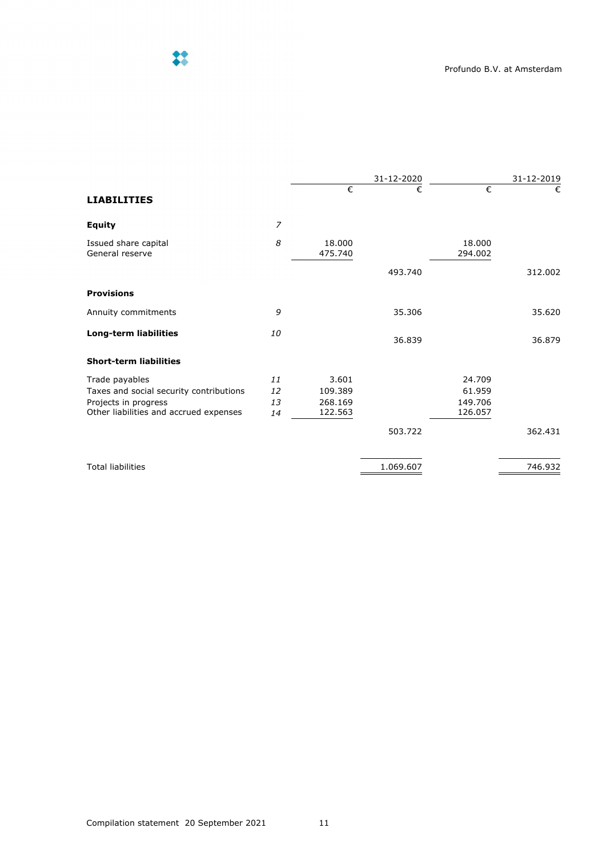

|                |                   | 31-12-2020         |                   | 31-12-2019        |
|----------------|-------------------|--------------------|-------------------|-------------------|
|                | €                 | €                  | €                 | €                 |
| $\overline{z}$ |                   |                    |                   |                   |
| 8              | 18,000<br>475.740 |                    | 18,000<br>294.002 |                   |
|                |                   | 493.740            |                   | 312.002           |
|                |                   |                    |                   |                   |
| 9              |                   | 35.306             |                   | 35.620            |
| 10             |                   | 36.839             |                   | 36.879            |
|                |                   |                    |                   |                   |
| 11             | 3.601             |                    | 24.709            |                   |
|                |                   |                    |                   |                   |
| 14             | 122.563           |                    | 126.057           |                   |
|                |                   | 503.722            |                   | 362.431           |
|                |                   | 1.069.607          |                   | 746.932           |
|                | 12<br>13          | 109.389<br>268.169 |                   | 61.959<br>149.706 |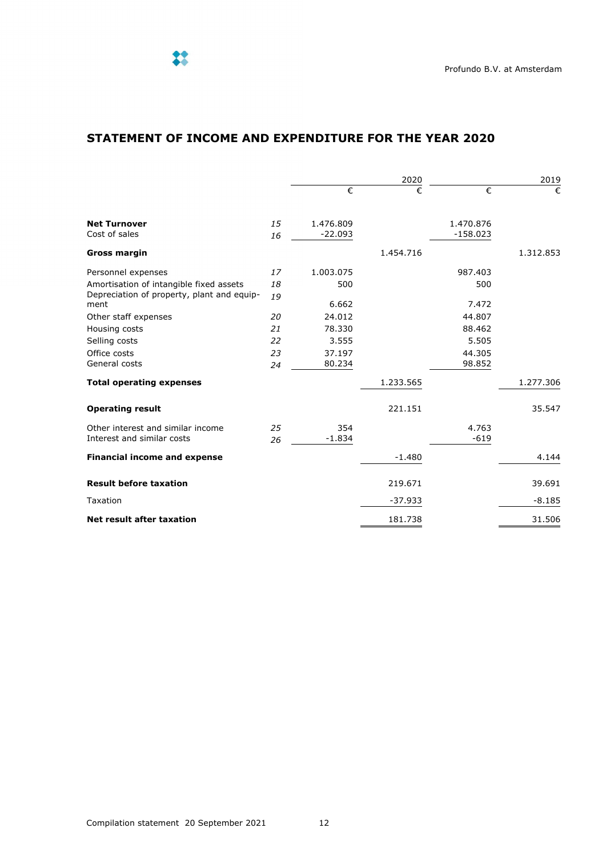# **STATEMENT OF INCOME AND EXPENDITURE FOR THE YEAR 2020**

|                                                    |    | 2020      |           | 2019       |           |
|----------------------------------------------------|----|-----------|-----------|------------|-----------|
|                                                    |    | €         | €         | €          | €         |
| <b>Net Turnover</b>                                | 15 | 1.476.809 |           | 1.470.876  |           |
| Cost of sales                                      | 16 | $-22.093$ |           | $-158.023$ |           |
| <b>Gross margin</b>                                |    |           | 1.454.716 |            | 1.312.853 |
| Personnel expenses                                 | 17 | 1.003.075 |           | 987.403    |           |
| Amortisation of intangible fixed assets            | 18 | 500       |           | 500        |           |
| Depreciation of property, plant and equip-<br>ment | 19 | 6.662     |           | 7.472      |           |
| Other staff expenses                               | 20 | 24.012    |           | 44.807     |           |
| Housing costs                                      | 21 | 78.330    |           | 88.462     |           |
| Selling costs                                      | 22 | 3.555     |           | 5.505      |           |
| Office costs                                       | 23 | 37.197    |           | 44.305     |           |
| General costs                                      | 24 | 80.234    |           | 98.852     |           |
| <b>Total operating expenses</b>                    |    |           | 1.233.565 |            | 1.277.306 |
| <b>Operating result</b>                            |    |           | 221.151   |            | 35.547    |
| Other interest and similar income                  | 25 | 354       |           | 4.763      |           |
| Interest and similar costs                         | 26 | $-1.834$  |           | $-619$     |           |
| <b>Financial income and expense</b>                |    |           | $-1.480$  |            | 4.144     |
| <b>Result before taxation</b>                      |    |           | 219.671   |            | 39.691    |
| Taxation                                           |    |           | $-37.933$ |            | $-8.185$  |
| <b>Net result after taxation</b>                   |    |           | 181.738   |            | 31.506    |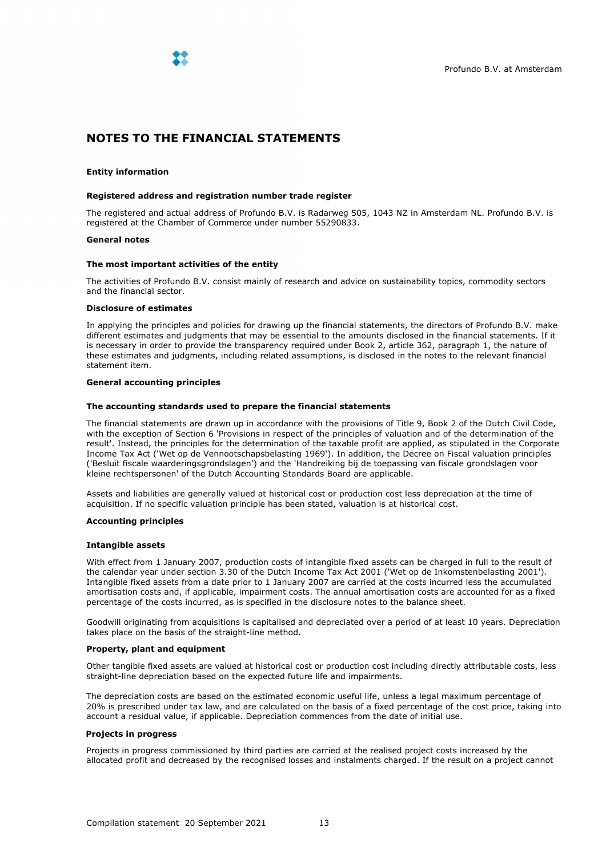

# **NOTES TO THE FINANCIAL STATEMENTS**

## **Entity information**

## **Registered address and registration number trade register**

The registered and actual address of Profundo B.V. is Radarweg 505, 1043 NZ in Amsterdam NL. Profundo B.V. is registered at the Chamber of Commerce under number 55290833.

## **General notes**

## **The most important activities of the entity**

The activities of Profundo B.V. consist mainly of research and advice on sustainability topics, commodity sectors and the financial sector.

## **Disclosure of estimates**

In applying the principles and policies for drawing up the financial statements, the directors of Profundo B.V. make different estimates and judgments that may be essential to the amounts disclosed in the financial statements. If it is necessary in order to provide the transparency required under Book 2, article 362, paragraph 1, the nature of these estimates and judgments, including related assumptions, is disclosed in the notes to the relevant financial statement item.

## **General accounting principles**

### **The accounting standards used to prepare the financial statements**

The financial statements are drawn up in accordance with the provisions of Title 9, Book 2 of the Dutch Civil Code, with the exception of Section 6 'Provisions in respect of the principles of valuation and of the determination of the result'. Instead, the principles for the determination of the taxable profit are applied, as stipulated in the Corporate Income Tax Act ('Wet op de Vennootschapsbelasting 1969'). In addition, the Decree on Fiscal valuation principles ('Besluit fiscale waarderingsgrondslagen') and the 'Handreiking bij de toepassing van fiscale grondslagen voor kleine rechtspersonen' of the Dutch Accounting Standards Board are applicable.

Assets and liabilities are generally valued at historical cost or production cost less depreciation at the time of acquisition. If no specific valuation principle has been stated, valuation is at historical cost.

## **Accounting principles**

## **Intangible assets**

With effect from 1 January 2007, production costs of intangible fixed assets can be charged in full to the result of the calendar year under section 3.30 of the Dutch Income Tax Act 2001 ('Wet op de Inkomstenbelasting 2001'). Intangible fixed assets from a date prior to 1 January 2007 are carried at the costs incurred less the accumulated amortisation costs and, if applicable, impairment costs. The annual amortisation costs are accounted for as a fixed percentage of the costs incurred, as is specified in the disclosure notes to the balance sheet.

Goodwill originating from acquisitions is capitalised and depreciated over a period of at least 10 years. Depreciation takes place on the basis of the straight-line method.

## **Property, plant and equipment**

Other tangible fixed assets are valued at historical cost or production cost including directly attributable costs, less straight-line depreciation based on the expected future life and impairments.

The depreciation costs are based on the estimated economic useful life, unless a legal maximum percentage of 20% is prescribed under tax law, and are calculated on the basis of a fixed percentage of the cost price, taking into account a residual value, if applicable. Depreciation commences from the date of initial use.

## **Projects in progress**

Projects in progress commissioned by third parties are carried at the realised project costs increased by the allocated profit and decreased by the recognised losses and instalments charged. If the result on a project cannot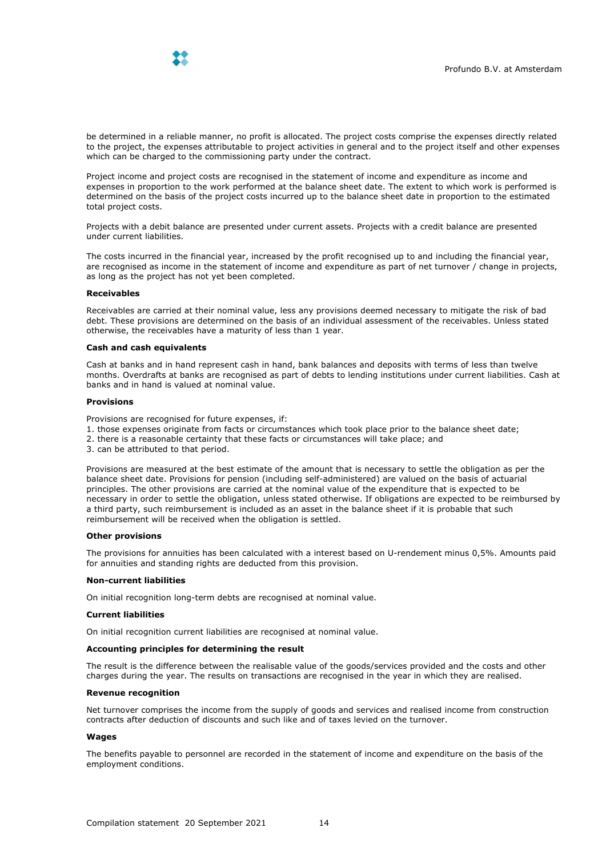

be determined in a reliable manner, no profit is allocated. The project costs comprise the expenses directly related to the project, the expenses attributable to project activities in general and to the project itself and other expenses which can be charged to the commissioning party under the contract.

Project income and project costs are recognised in the statement of income and expenditure as income and expenses in proportion to the work performed at the balance sheet date. The extent to which work is performed is determined on the basis of the project costs incurred up to the balance sheet date in proportion to the estimated total project costs.

Projects with a debit balance are presented under current assets. Projects with a credit balance are presented under current liabilities.

The costs incurred in the financial year, increased by the profit recognised up to and including the financial year, are recognised as income in the statement of income and expenditure as part of net turnover / change in projects, as long as the project has not yet been completed.

## **Receivables**

Receivables are carried at their nominal value, less any provisions deemed necessary to mitigate the risk of bad debt. These provisions are determined on the basis of an individual assessment of the receivables. Unless stated otherwise, the receivables have a maturity of less than 1 year.

#### **Cash and cash equivalents**

Cash at banks and in hand represent cash in hand, bank balances and deposits with terms of less than twelve months. Overdrafts at banks are recognised as part of debts to lending institutions under current liabilities. Cash at banks and in hand is valued at nominal value.

#### **Provisions**

Provisions are recognised for future expenses, if:

- 1. those expenses originate from facts or circumstances which took place prior to the balance sheet date;
- 2. there is a reasonable certainty that these facts or circumstances will take place; and
- 3. can be attributed to that period.

Provisions are measured at the best estimate of the amount that is necessary to settle the obligation as per the balance sheet date. Provisions for pension (including self-administered) are valued on the basis of actuarial principles. The other provisions are carried at the nominal value of the expenditure that is expected to be necessary in order to settle the obligation, unless stated otherwise. If obligations are expected to be reimbursed by a third party, such reimbursement is included as an asset in the balance sheet if it is probable that such reimbursement will be received when the obligation is settled.

#### **Other provisions**

The provisions for annuities has been calculated with a interest based on U-rendement minus 0,5%. Amounts paid for annuities and standing rights are deducted from this provision.

### **Non-current liabilities**

On initial recognition long-term debts are recognised at nominal value.

### **Current liabilities**

On initial recognition current liabilities are recognised at nominal value.

## **Accounting principles for determining the result**

The result is the difference between the realisable value of the goods/services provided and the costs and other charges during the year. The results on transactions are recognised in the year in which they are realised.

## **Revenue recognition**

Net turnover comprises the income from the supply of goods and services and realised income from construction contracts after deduction of discounts and such like and of taxes levied on the turnover.

## **Wages**

The benefits payable to personnel are recorded in the statement of income and expenditure on the basis of the employment conditions.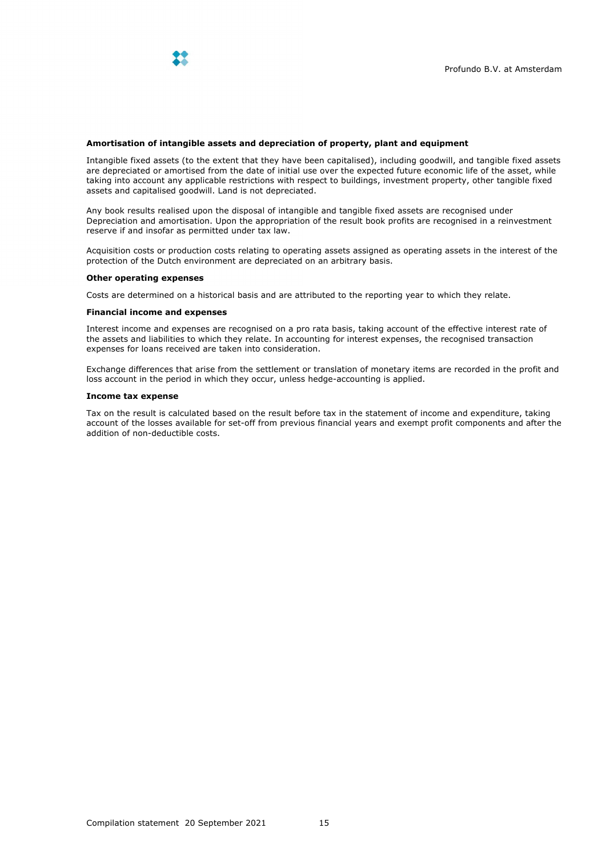

## **Amortisation of intangible assets and depreciation of property, plant and equipment**

Intangible fixed assets (to the extent that they have been capitalised), including goodwill, and tangible fixed assets are depreciated or amortised from the date of initial use over the expected future economic life of the asset, while taking into account any applicable restrictions with respect to buildings, investment property, other tangible fixed assets and capitalised goodwill. Land is not depreciated.

Any book results realised upon the disposal of intangible and tangible fixed assets are recognised under Depreciation and amortisation. Upon the appropriation of the result book profits are recognised in a reinvestment reserve if and insofar as permitted under tax law.

Acquisition costs or production costs relating to operating assets assigned as operating assets in the interest of the protection of the Dutch environment are depreciated on an arbitrary basis.

## **Other operating expenses**

Costs are determined on a historical basis and are attributed to the reporting year to which they relate.

### **Financial income and expenses**

Interest income and expenses are recognised on a pro rata basis, taking account of the effective interest rate of the assets and liabilities to which they relate. In accounting for interest expenses, the recognised transaction expenses for loans received are taken into consideration.

Exchange differences that arise from the settlement or translation of monetary items are recorded in the profit and loss account in the period in which they occur, unless hedge-accounting is applied.

## **Income tax expense**

Tax on the result is calculated based on the result before tax in the statement of income and expenditure, taking account of the losses available for set-off from previous financial years and exempt profit components and after the addition of non-deductible costs.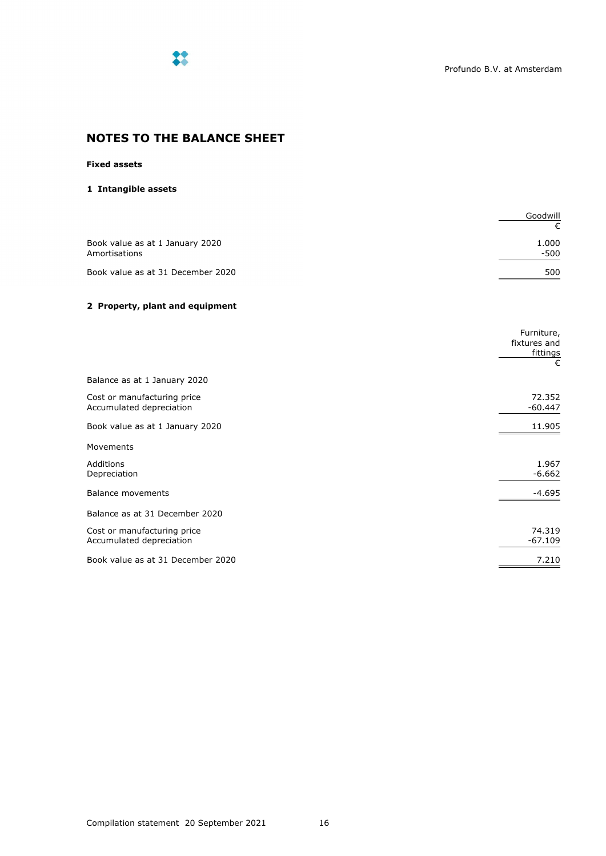

# **NOTES TO THE BALANCE SHEET**

## **Fixed assets**

## **1 Intangible assets**

|                                                  | Goodwill        |
|--------------------------------------------------|-----------------|
| Book value as at 1 January 2020<br>Amortisations | 1.000<br>$-500$ |
| Book value as at 31 December 2020                | 500             |

## **2 Property, plant and equipment**

|                                                         | Furniture,<br>fixtures and<br>fittings<br>€ |
|---------------------------------------------------------|---------------------------------------------|
| Balance as at 1 January 2020                            |                                             |
| Cost or manufacturing price<br>Accumulated depreciation | 72.352<br>$-60.447$                         |
| Book value as at 1 January 2020                         | 11.905                                      |
| Movements                                               |                                             |
| Additions<br>Depreciation                               | 1.967<br>$-6.662$                           |
| Balance movements                                       | $-4.695$                                    |
| Balance as at 31 December 2020                          |                                             |
| Cost or manufacturing price<br>Accumulated depreciation | 74.319<br>$-67.109$                         |
| Book value as at 31 December 2020                       | 7.210                                       |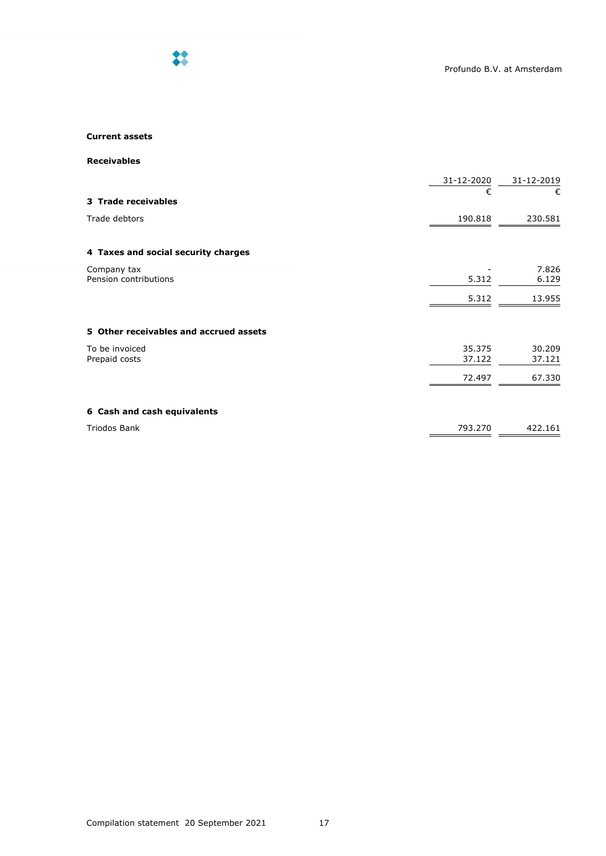

## **Current assets**

**Receivables**

|                                        | 31-12-2020<br>€  | 31-12-2019<br>€  |
|----------------------------------------|------------------|------------------|
| 3 Trade receivables                    |                  |                  |
| Trade debtors                          | 190.818          | 230.581          |
| 4 Taxes and social security charges    |                  |                  |
| Company tax<br>Pension contributions   | 5.312            | 7.826<br>6.129   |
|                                        | 5.312            | 13.955           |
| 5 Other receivables and accrued assets |                  |                  |
| To be invoiced<br>Prepaid costs        | 35.375<br>37.122 | 30.209<br>37.121 |
|                                        | 72.497           | 67.330           |
| 6 Cash and cash equivalents            |                  |                  |
| <b>Triodos Bank</b>                    | 793.270          | 422.161          |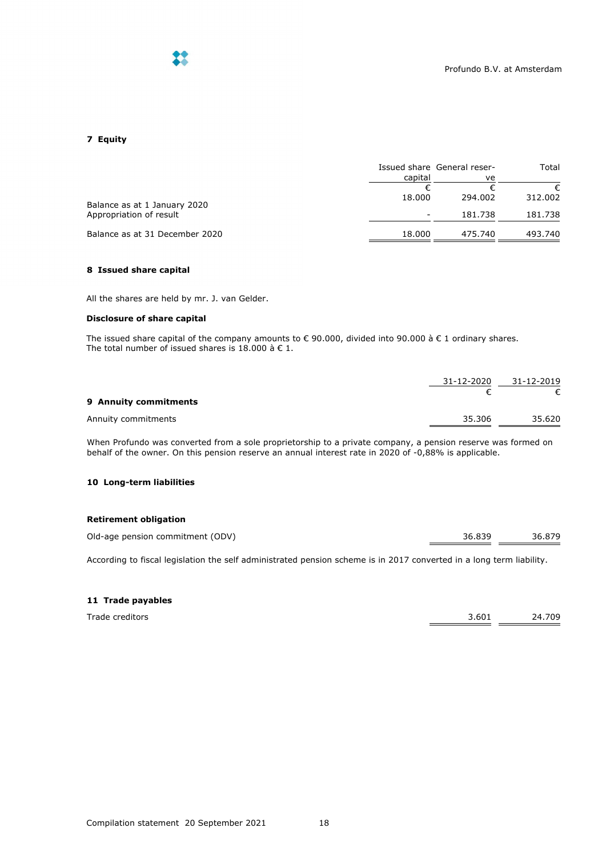

## **7 Equity**

|                                |         | Issued share General reser- |         |
|--------------------------------|---------|-----------------------------|---------|
|                                | capital | ve                          |         |
|                                |         |                             |         |
| Balance as at 1 January 2020   | 18.000  | 294.002                     | 312.002 |
| Appropriation of result        |         | 181.738                     | 181.738 |
| Balance as at 31 December 2020 | 18.000  | 475.740                     | 493.740 |

## **8 Issued share capital**

All the shares are held by mr. J. van Gelder.

## **Disclosure of share capital**

The issued share capital of the company amounts to € 90.000, divided into 90.000 à € 1 ordinary shares. The total number of issued shares is 18.000 à  $\in$  1.

|                       | 31-12-2020 | 31-12-2019 |
|-----------------------|------------|------------|
| 9 Annuity commitments |            |            |
| Annuity commitments   | 35.306     | 35.620     |

When Profundo was converted from a sole proprietorship to a private company, a pension reserve was formed on behalf of the owner. On this pension reserve an annual interest rate in 2020 of -0,88% is applicable.

## **10 Long-term liabilities**

## **Retirement obligation**

| Old-age pension commitment (ODV) | 36.839 | 36.879 |
|----------------------------------|--------|--------|
|                                  |        |        |

According to fiscal legislation the self administrated pension scheme is in 2017 converted in a long term liability.

## **11 Trade payables**

| Trade creditors | 3.601 | 24.709 |
|-----------------|-------|--------|
|                 |       |        |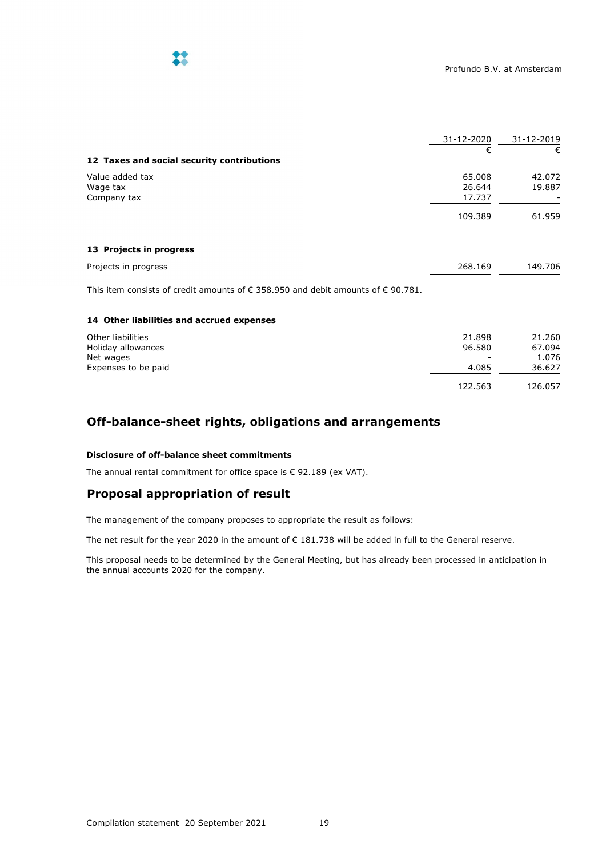

|                                                                                                    | 31-12-2020                 | 31-12-2019       |
|----------------------------------------------------------------------------------------------------|----------------------------|------------------|
| 12 Taxes and social security contributions                                                         | €                          | €                |
| Value added tax<br>Wage tax<br>Company tax                                                         | 65.008<br>26.644<br>17.737 | 42.072<br>19.887 |
|                                                                                                    | 109.389                    | 61.959           |
| 13 Projects in progress                                                                            |                            |                  |
| Projects in progress                                                                               | 268.169                    | 149.706          |
| This item consists of credit amounts of $\epsilon$ 358.950 and debit amounts of $\epsilon$ 90.781. |                            |                  |
| 14 Other liabilities and accrued expenses                                                          |                            |                  |

| Other liabilities<br>Holiday allowances | 21.898<br>96.580         | 21.260<br>67.094 |
|-----------------------------------------|--------------------------|------------------|
| Net wages                               | $\overline{\phantom{0}}$ | 1.076            |
| Expenses to be paid                     | 4.085                    | 36.627           |
|                                         | 122.563                  | 126.057          |

# **Off-balance-sheet rights, obligations and arrangements**

## **Disclosure of off-balance sheet commitments**

The annual rental commitment for office space is € 92.189 (ex VAT).

# **Proposal appropriation of result**

The management of the company proposes to appropriate the result as follows:

The net result for the year 2020 in the amount of € 181.738 will be added in full to the General reserve.

This proposal needs to be determined by the General Meeting, but has already been processed in anticipation in the annual accounts 2020 for the company.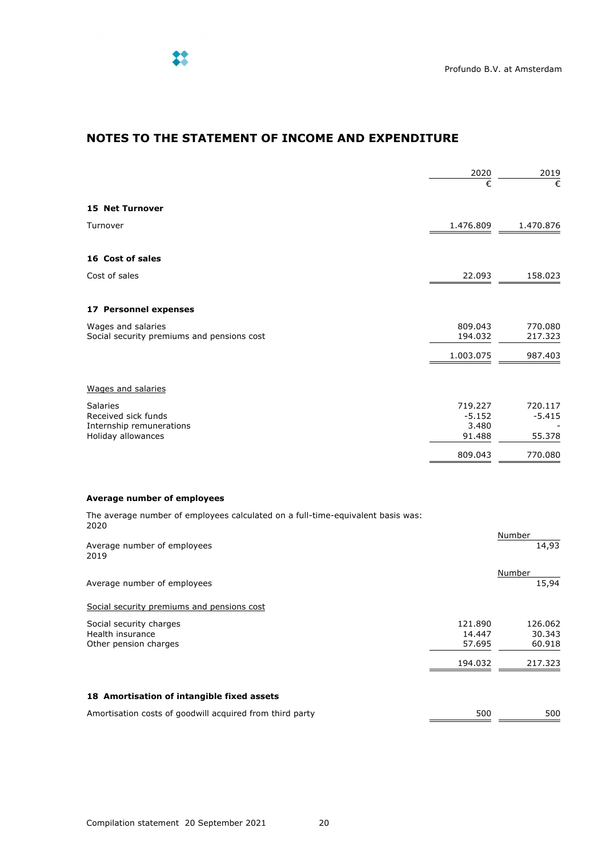

# **NOTES TO THE STATEMENT OF INCOME AND EXPENDITURE**

|                                                                                          | 2020                                   | 2019                          |
|------------------------------------------------------------------------------------------|----------------------------------------|-------------------------------|
|                                                                                          | €                                      | €                             |
| <b>15 Net Turnover</b>                                                                   |                                        |                               |
| Turnover                                                                                 | 1.476.809                              | 1.470.876                     |
| 16 Cost of sales                                                                         |                                        |                               |
| Cost of sales                                                                            | 22.093                                 | 158.023                       |
| 17 Personnel expenses                                                                    |                                        |                               |
| Wages and salaries<br>Social security premiums and pensions cost                         | 809.043<br>194.032                     | 770.080<br>217.323            |
|                                                                                          | 1.003.075                              | 987.403                       |
| Wages and salaries                                                                       |                                        |                               |
| <b>Salaries</b><br>Received sick funds<br>Internship remunerations<br>Holiday allowances | 719.227<br>$-5.152$<br>3.480<br>91.488 | 720.117<br>$-5.415$<br>55.378 |
|                                                                                          | 809.043                                | 770.080                       |

The average number of employees calculated on a full-time-equivalent basis was: 2020

| Average number of employees<br>2019                      |         | Number<br>14,93 |
|----------------------------------------------------------|---------|-----------------|
| Average number of employees                              |         | Number<br>15,94 |
| Social security premiums and pensions cost               |         |                 |
| Social security charges                                  | 121.890 | 126.062         |
| Health insurance                                         | 14.447  | 30.343          |
| Other pension charges                                    | 57.695  | 60.918          |
|                                                          | 194.032 | 217.323         |
| 18 Amortisation of intangible fixed assets               |         |                 |
| Amortisation costs of goodwill acquired from third party | 500     | 500             |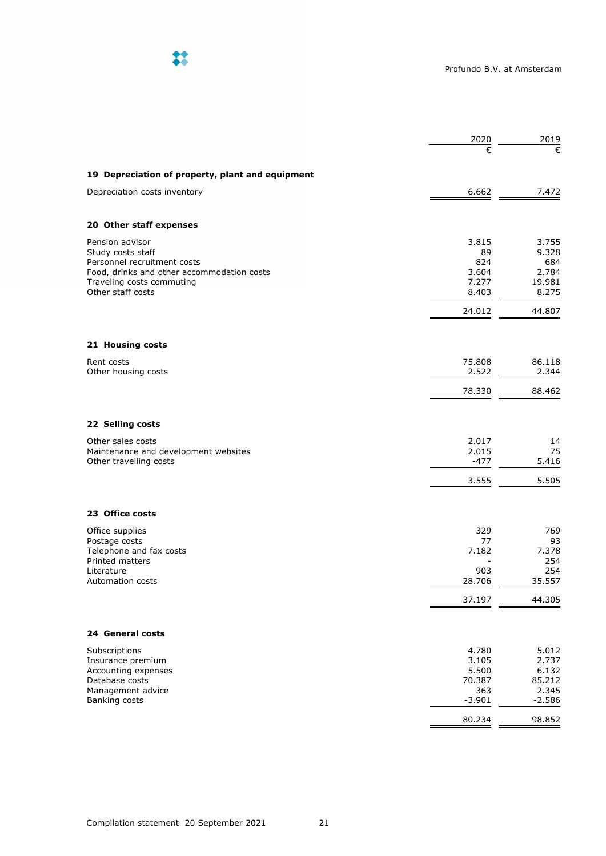

|                                                                           | 2020            | 2019            |
|---------------------------------------------------------------------------|-----------------|-----------------|
|                                                                           | €               | €               |
| 19 Depreciation of property, plant and equipment                          |                 |                 |
| Depreciation costs inventory                                              | 6.662           | 7.472           |
| 20 Other staff expenses                                                   |                 |                 |
| Pension advisor                                                           | 3.815           | 3.755           |
| Study costs staff                                                         | 89              | 9.328           |
| Personnel recruitment costs<br>Food, drinks and other accommodation costs | 824<br>3.604    | 684             |
| Traveling costs commuting                                                 | 7.277           | 2.784<br>19.981 |
| Other staff costs                                                         | 8.403           | 8.275           |
|                                                                           | 24.012          | 44.807          |
|                                                                           |                 |                 |
| 21 Housing costs                                                          |                 |                 |
| Rent costs<br>Other housing costs                                         | 75.808<br>2.522 | 86.118<br>2.344 |
|                                                                           | 78.330          | 88.462          |
|                                                                           |                 |                 |
| 22 Selling costs                                                          |                 |                 |
| Other sales costs                                                         | 2.017           | 14              |
| Maintenance and development websites                                      | 2.015           | 75              |
| Other travelling costs                                                    | -477            | 5.416           |
|                                                                           | 3.555           | 5.505           |
| 23 Office costs                                                           |                 |                 |
| Office supplies                                                           | 329             | 769             |
| Postage costs                                                             | 77              | 93              |
| Telephone and fax costs                                                   | 7.182           | 7.378           |
| Printed matters<br>Literature                                             | 903             | 254<br>254      |
| <b>Automation costs</b>                                                   | 28.706          | 35.557          |
|                                                                           | 37.197          | 44.305          |
|                                                                           |                 |                 |
| 24 General costs                                                          |                 |                 |
| Subscriptions                                                             | 4.780           | 5.012           |
| Insurance premium                                                         | 3.105           | 2.737           |
| Accounting expenses<br>Database costs                                     | 5.500<br>70.387 | 6.132<br>85.212 |
| Management advice                                                         | 363             | 2.345           |
| Banking costs                                                             | $-3.901$        | $-2.586$        |
|                                                                           | 80.234          | 98.852          |